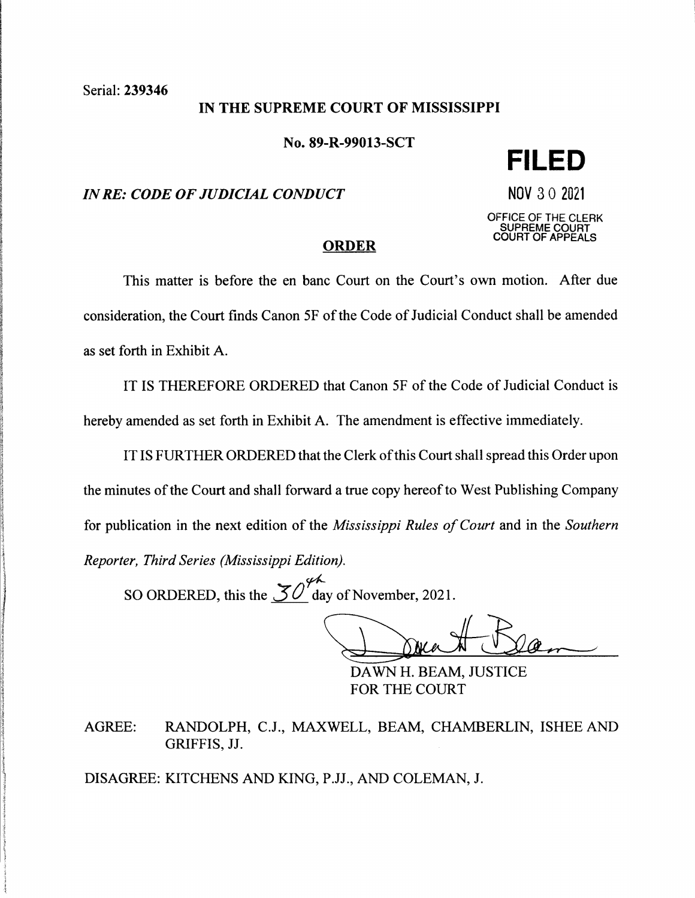### IN THE SUPREME COURT OF MISSISSIPPI

No. 89-R-99013-SCT

### *IN RE: CODE OF JUDICIAL CONDUCT* NOV 3 0 2021

**FILED** 

OFFICE OF THE CLERK **SUPREME COURT COURT OF APPEALS** 

#### **ORDER**

This matter is before the en bane Court on the Court's own motion. After due consideration, the Court finds Canon 5F of the Code of Judicial Conduct shall be amended as set forth in Exhibit A.

IT IS THEREFORE ORDERED that Canon 5F of the Code of Judicial Conduct is hereby amended as set forth in Exhibit A. The amendment is effective immediately.

IT IS FURTHER ORDERED that the Clerk of this Court shall spread this Order upon the minutes of the Court and shall forward a true copy hereof to West Publishing Company for publication in the next edition of the *Mississippi Rules of Court* and in the *Southern Reporter, Third Series (Mississippi Edition).* 

SO ORDERED, this the  $\mathcal{30}^{\cancel{\circ}4}$  day of November, 2021.

DAWN H. BEAM, JUSTICE

FOR THE COURT

AGREE: RANDOLPH, C.J., MAXWELL, BEAM, CHAMBERLIN, ISHEE AND GRIFFIS, JJ.

DISAGREE: KITCHENS AND KING, P.JJ., AND COLEMAN, J.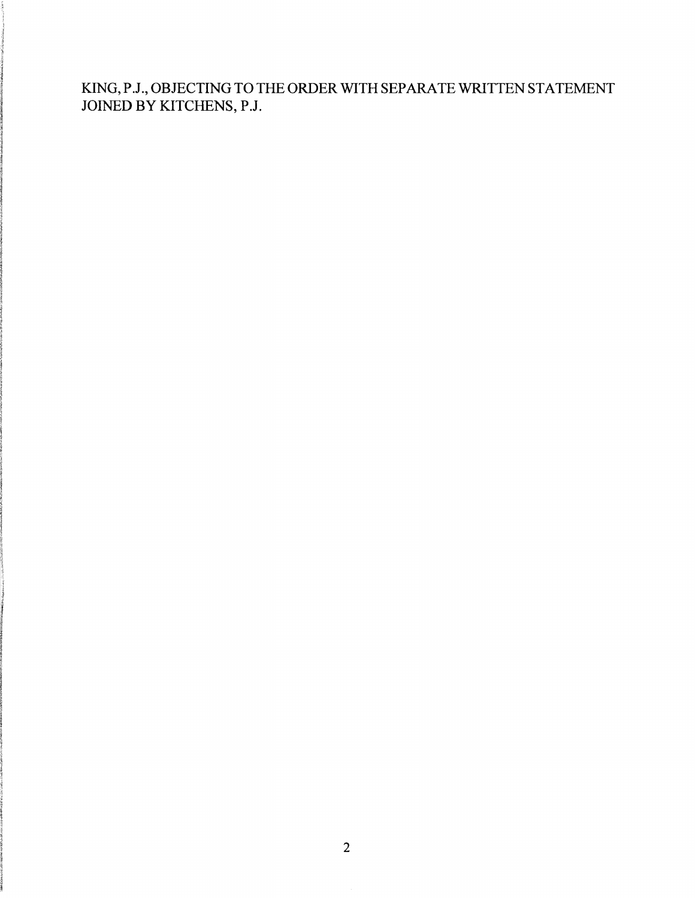KING,P.J.,OBJECTINGTOTHEORDER WITH SEPARATE WRITTEN STATEMENT JOINED BY KITCHENS, P.J.

in a sa matair.<br>I incanana.<br>...

I

IC (1998年)の「Windows Structure」の「Windows Structure」ということがある。<br>「Windows Structure」ということが、「Windows Structure」ということが、「Windows Structure」ということが、「Windows Structure」ということが、「Windows Structure」ということが、「Windows Structure」ということが、「Wi

 $\label{eq:2} \begin{aligned} \mathcal{L}^{(1)}_{\mathcal{M}}(\mathcal{M}^{(1)}_{\mathcal{M}}(\mathcal{M}^{(1)}_{\mathcal{M}}(\mathcal{M}^{(1)}_{\mathcal{M}}(\mathcal{M}^{(1)}_{\mathcal{M}}(\mathcal{M}^{(1)}_{\mathcal{M}}(\mathcal{M}^{(1)}_{\mathcal{M}}(\mathcal{M}^{(1)}_{\mathcal{M}}(\mathcal{M}^{(1)}_{\mathcal{M}}(\mathcal{M}^{(1)}_{\mathcal{M}})))\mathcal{M}^{(1)}_{\mathcal{M}}(\mathcal{M}^{(1)}_{\mathcal{M}}(\mathcal$ 

'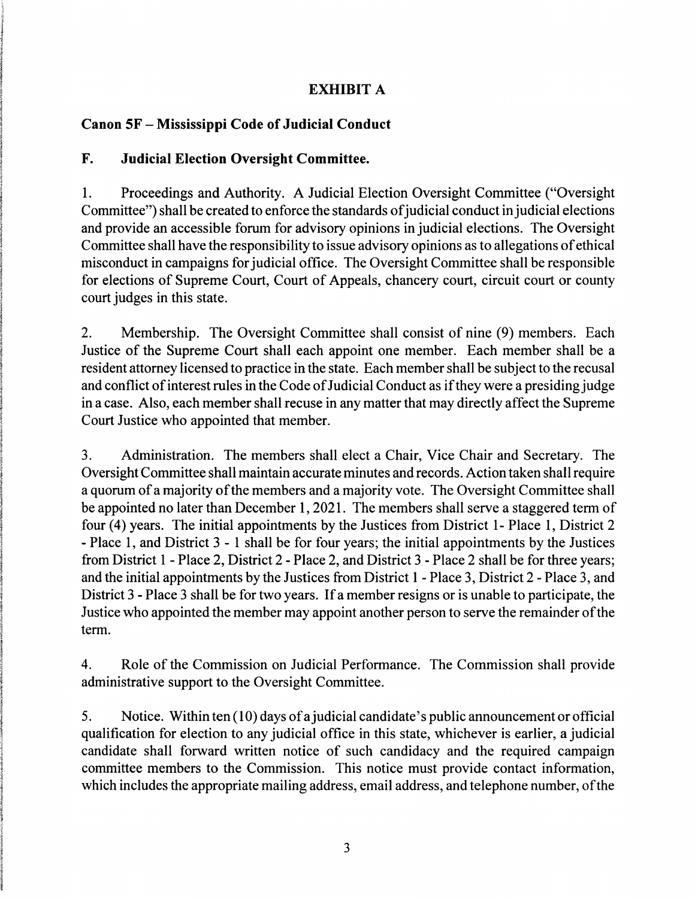# **EXHIBIT A**

## **Canon SF** - **Mississippi Code of Judicial Conduct**

### **F. Judicial Election Oversight Committee.**

1. Proceedings and Authority. A Judicial Election Oversight Committee ("Oversight Committee") shall be created to enforce the standards of judicial conduct in judicial elections and provide an accessible forum for advisory opinions in judicial elections. The Oversight Committee shall have the responsibility to issue advisory opinions as to allegations of ethical misconduct in campaigns for judicial office. The Oversight Committee shall be responsible for elections of Supreme Court, Court of Appeals, chancery court, circuit court or county court judges in this state.

2. Membership. The Oversight Committee shall consist of nine (9) members. Each Justice of the Supreme Court shall each appoint one member. Each member shall be a resident attorney licensed to practice in the state. Each member shall be subject to the recusal and conflict of interest rules in the Code of Judicial Conduct as if they were a presiding judge in a case. Also, each member shall recuse in any matter that may directly affect the Supreme Court Justice who appointed that member.

3. Administration. The members shall elect a Chair, Vice Chair and Secretary. The Oversight Committee shall maintain accurate minutes and records. Action taken shall require a quorum of a majority of the members and a majority vote. The Oversight Committee shall be appointed no later than December 1, 2021. The members shall serve a staggered term of four (4) years. The initial appointments by the Justices from District 1- Place 1, District 2 - Place 1, and District 3 - 1 shall be for four years; the initial appointments by the Justices from District 1 - Place 2, District 2 - Place 2, and District 3 - Place 2 shall be for three years; and the initial appointments by the Justices from District 1 - Place 3, District 2 - Place 3, and District 3 - Place 3 shall be for two years. If a member resigns or is unable to participate, the Justice who appointed the member may appoint another person to serve the remainder of the term.

4. Role of the Commission on Judicial Performance. The Commission shall provide administrative support to the Oversight Committee.

5. Notice. Within ten (10) days of a judicial candidate's public announcement or official qualification for election to any judicial office in this state, whichever is earlier, a judicial candidate shall forward written notice of such candidacy and the required campaign committee members to the Commission. This notice must provide contact information, which includes the appropriate mailing address, email address, and telephone number, of the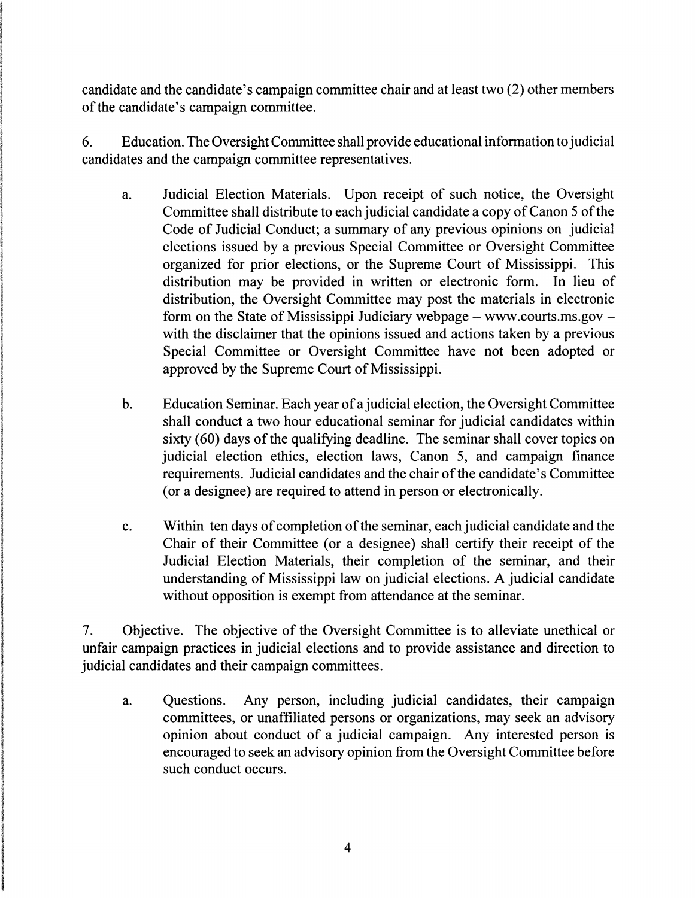candidate and the candidate's campaign committee chair and at least two (2) other members of the candidate's campaign committee.

6. Education. The Oversight Committee shall provide educational information to judicial candidates and the campaign committee representatives.

- a. Judicial Election Materials. Upon receipt of such notice, the Oversight Committee shall distribute to each judicial candidate a copy of Canon 5 of the Code of Judicial Conduct; a summary of any previous opinions on judicial elections issued by a previous Special Committee or Oversight Committee organized for prior elections, or the Supreme Court of Mississippi. This distribution may be provided in written or electronic form. In lieu of distribution, the Oversight Committee may post the materials in electronic form on the State of Mississippi Judiciary webpage  $-$  www.courts.ms.gov  $$ with the disclaimer that the opinions issued and actions taken by a previous Special Committee or Oversight Committee have not been adopted or approved by the Supreme Court of Mississippi.
- b. Education Seminar. Each year of a judicial election, the Oversight Committee shall conduct a two hour educational seminar for judicial candidates within sixty (60) days of the qualifying deadline. The seminar shall cover topics on judicial election ethics, election laws, Canon 5, and campaign finance requirements. Judicial candidates and the chair of the candidate's Committee (or a designee) are required to attend in person or electronically.
- c. Within ten days of completion of the seminar, each judicial candidate and the Chair of their Committee (or a designee) shall certify their receipt of the Judicial Election Materials, their completion of the seminar, and their understanding of Mississippi law on judicial elections. A judicial candidate without opposition is exempt from attendance at the seminar.

7. Objective. The objective of the Oversight Committee is to alleviate unethical or unfair campaign practices in judicial elections and to provide assistance and direction to judicial candidates and their campaign committees.

a. Questions. Any person, including judicial candidates, their campaign committees, or unaffiliated persons or organizations, may seek an advisory opinion about conduct of a judicial campaign. Any interested person is encouraged to seek an advisory opinion from the Oversight Committee before such conduct occurs.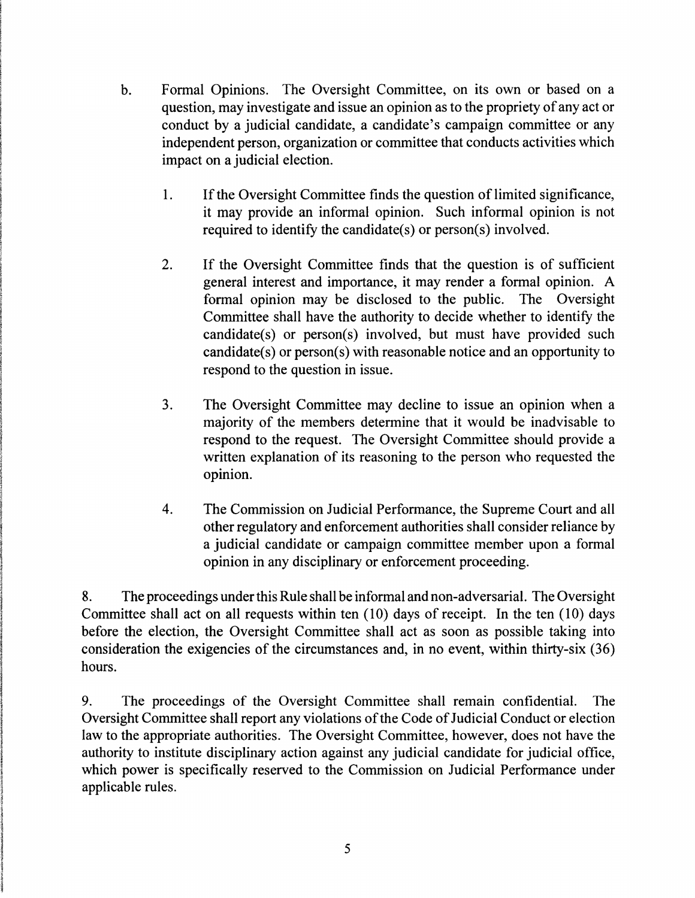- b. Formal Opinions. The Oversight Committee, on its own or based on a question, may investigate and issue an opinion as to the propriety of any act or conduct by a judicial candidate, a candidate's campaign committee or any independent person, organization or committee that conducts activities which impact on a judicial election.
	- 1. If the Oversight Committee finds the question of limited significance, it may provide an informal opinion. Such informal opinion is not required to identify the candidate(s) or person(s) involved.
	- 2. If the Oversight Committee finds that the question is of sufficient general interest and importance, it may render a formal opinion. A formal opinion may be disclosed to the public. The Oversight Committee shall have the authority to decide whether to identify the candidate(s) or person(s) involved, but must have provided such candidate(s) or person(s) with reasonable notice and an opportunity to respond to the question in issue.
	- 3. The Oversight Committee may decline to issue an opinion when a majority of the members determine that it would be inadvisable to respond to the request. The Oversight Committee should provide a written explanation of its reasoning to the person who requested the opinion.
	- 4. The Commission on Judicial Performance, the Supreme Court and all other regulatory and enforcement authorities shall consider reliance by a judicial candidate or campaign committee member upon a formal opinion in any disciplinary or enforcement proceeding.

8. The proceedings under this Rule shall be informal and non-adversarial. The Oversight Committee shall act on all requests within ten (10) days of receipt. In the ten ( 10) days before the election, the Oversight Committee shall act as soon as possible taking into consideration the exigencies of the circumstances and, in no event, within thirty-six (36) hours.

9. The proceedings of the Oversight Committee shall remain confidential. The Oversight Committee shall report any violations of the Code of Judicial Conduct or election law to the appropriate authorities. The Oversight Committee, however, does not have the authority to institute disciplinary action against any judicial candidate for judicial office, which power is specifically reserved to the Commission on Judicial Performance under applicable rules.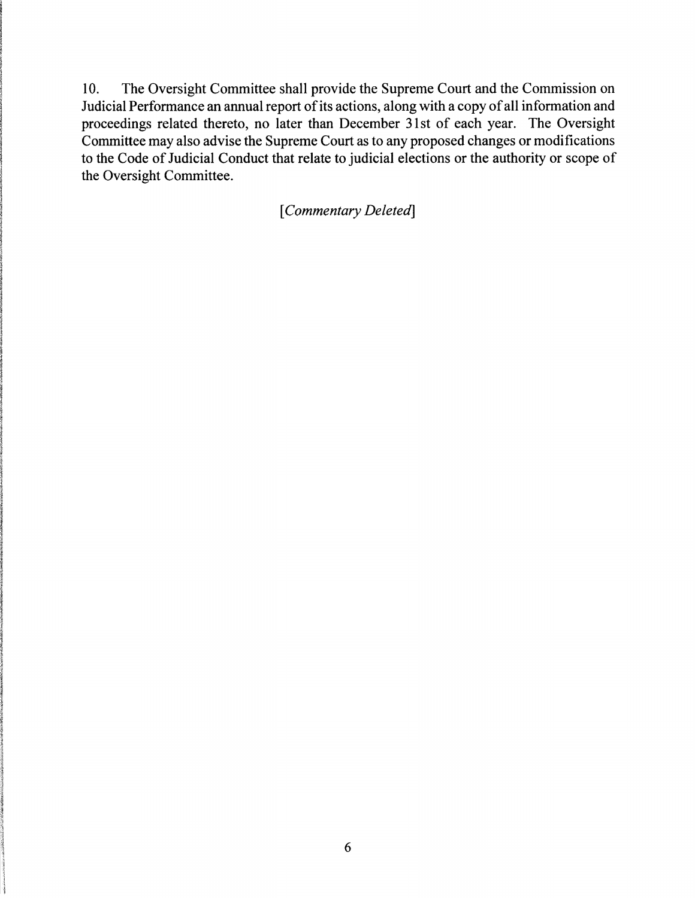10. The Oversight Committee shall provide the Supreme Court and the Commission on Judicial Performance an annual report of its actions, along with a copy of all information and proceedings related thereto, no later than December 31st of each year. The Oversight Committee may also advise the Supreme Court as to any proposed changes or modifications to the Code of Judicial Conduct that relate to judicial elections or the authority or scope of the Oversight Committee.

[ *Commentary Deleted]*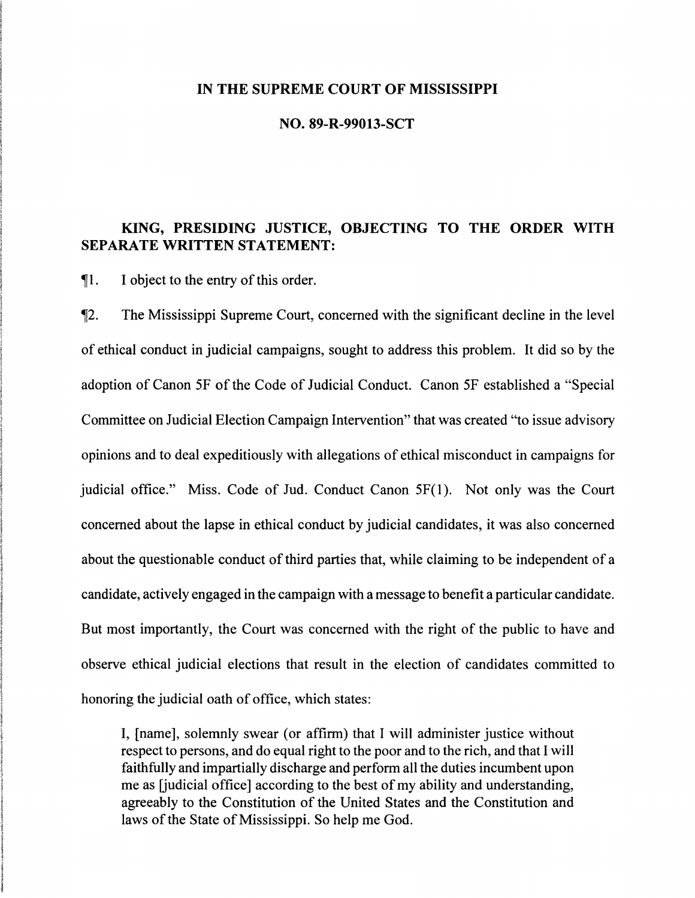#### **IN THE SUPREME COURT OF MISSISSIPPI**

#### **NO. 89-R-99013-SCT**

# **KING, PRESIDING JUSTICE, OBJECTING TO THE ORDER WITH SEPARATE WRITTEN STATEMENT:**

~l. I object to the entry of this order.

~2. The Mississippi Supreme Court, concerned with the significant decline in the level of ethical conduct in judicial campaigns, sought to address this problem. It did so by the adoption of Canon SF of the Code of Judicial Conduct. Canon SF established a "Special Committee on Judicial Election Campaign Intervention" that was created ''to issue advisory opinions and to deal expeditiously with allegations of ethical misconduct in campaigns for judicial office." Miss. Code of Jud. Conduct Canon SF(l). Not only was the Court concerned about the lapse in ethical conduct by judicial candidates, it was also concerned about the questionable conduct of third parties that, while claiming to be independent of a candidate, actively engaged in the campaign with a message to benefit a particular candidate. But most importantly, the Court was concerned with the right of the public to have and observe ethical judicial elections that result in the election of candidates committed to honoring the judicial oath of office, which states:

I, [name], solemnly swear (or affirm) that I will administer justice without respect to persons, and do equal right to the poor and to the rich, and that I will faithfully and impartially discharge and perform all the duties incumbent upon me as [judicial office] according to the best of my ability and understanding, agreeably to the Constitution of the United States and the Constitution and laws of the State of Mississippi. So help me God.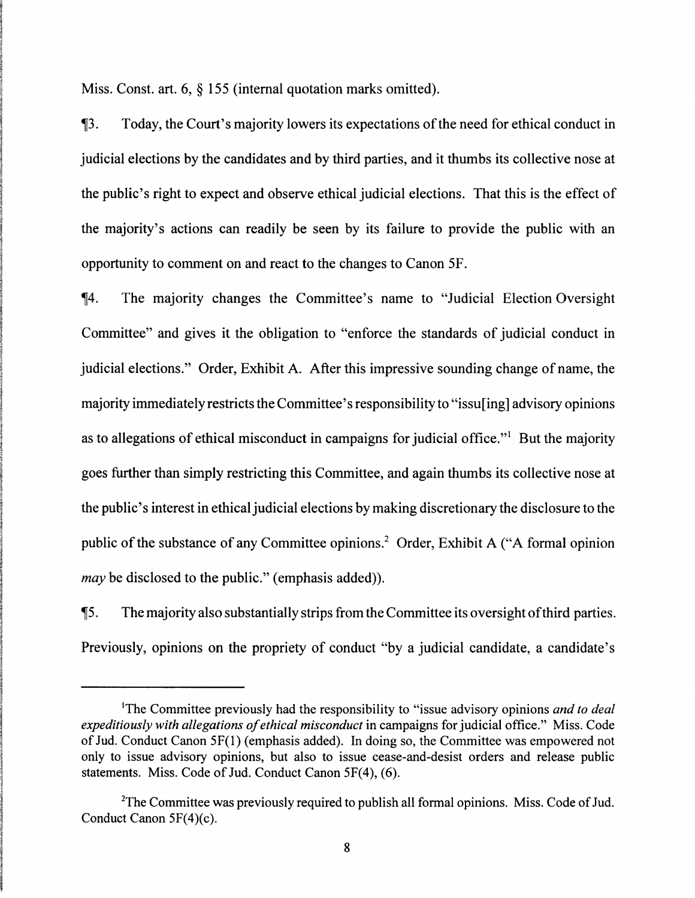Miss. Const. art. 6, § 155 (internal quotation marks omitted).

,i3. Today, the Court's majority lowers its expectations of the need for ethical conduct in judicial elections by the candidates and by third parties, and it thumbs its collective nose at the public's right to expect and observe ethical judicial elections. That this is the effect of the majority's actions can readily be seen by its failure to provide the public with an opportunity to comment on and react to the changes to Canon SF.

,i4. The majority changes the Committee's name to "Judicial Election Oversight Committee" and gives it the obligation to "enforce the standards of judicial conduct in judicial elections." Order, Exhibit A. After this impressive sounding change of name, the majority immediately restricts the Committee's responsibility to "issu[ing] advisory opinions as to allegations of ethical misconduct in campaigns for judicial office."<sup>1</sup> But the majority goes further than simply restricting this Committee, and again thumbs its collective nose at the public's interest in ethical judicial elections by making discretionary the disclosure to the public of the substance of any Committee opinions.2 Order, Exhibit A ("A formal opinion *may* be disclosed to the public." (emphasis added)).

 $\P$ 5. The majority also substantially strips from the Committee its oversight of third parties. Previously, opinions on the propriety of conduct "by a judicial candidate, a candidate's

<sup>1</sup>The Committee previously had the responsibility to "issue advisory opinions *and to deal expeditiously with a/legations of ethical misconduct* in campaigns for judicial office." Miss. Code of Jud. Conduct Canon 5F(l) ( emphasis added). In doing so, the Committee was empowered not only to issue advisory opinions, but also to issue cease-and-desist orders and release public statements. Miss. Code of Jud. Conduct Canon 5F(4), (6).

<sup>&</sup>lt;sup>2</sup>The Committee was previously required to publish all formal opinions. Miss. Code of Jud. Conduct Canon 5F(4)(c).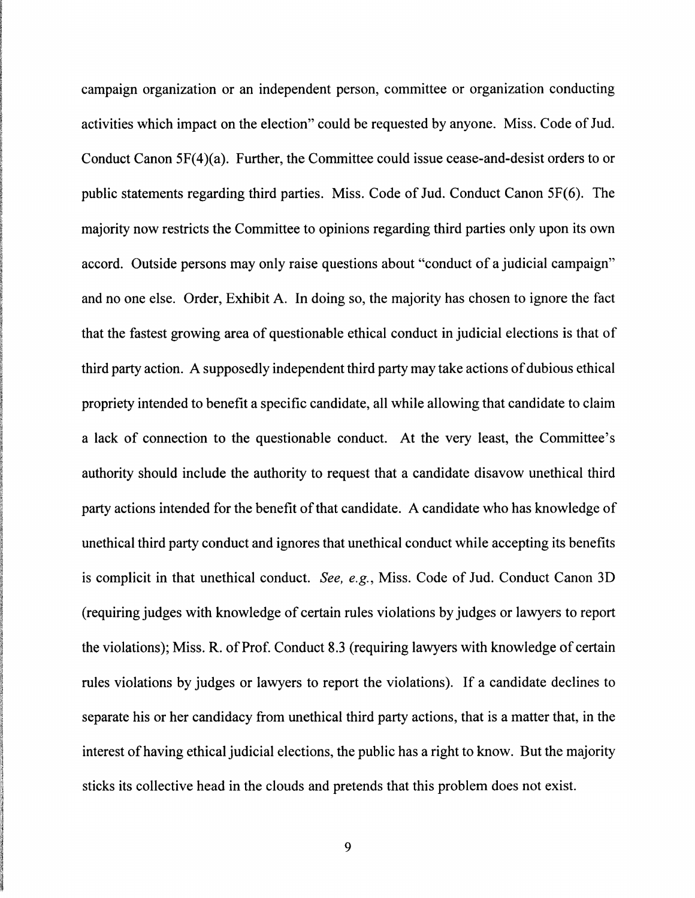campaign organization or an independent person, committee or organization conducting activities which impact on the election" could be requested by anyone. Miss. Code of Jud. Conduct Canon 5F(4)(a). Further, the Committee could issue cease-and-desist orders to or public statements regarding third parties. Miss. Code of Jud. Conduct Canon 5F(6). The majority now restricts the Committee to opinions regarding third parties only upon its own accord. Outside persons may only raise questions about "conduct of a judicial campaign" and no one else. Order, Exhibit A. In doing so, the majority has chosen to ignore the fact that the fastest growing area of questionable ethical conduct in judicial elections is that of third party action. A supposedly independent third party may take actions of dubious ethical propriety intended to benefit a specific candidate, all while allowing that candidate to claim a lack of connection to the questionable conduct. At the very least, the Committee's authority should include the authority to request that a candidate disavow unethical third party actions intended for the benefit of that candidate. A candidate who has knowledge of unethical third party conduct and ignores that unethical conduct while accepting its benefits is complicit in that unethical conduct. *See, e.g.,* Miss. Code of Jud. Conduct Canon 3D (requiring judges with knowledge of certain rules violations by judges or lawyers to report the violations); Miss. R. of Prof. Conduct 8.3 (requiring lawyers with knowledge of certain rules violations by judges or lawyers to report the violations). If a candidate declines to separate his or her candidacy from unethical third party actions, that is a matter that, in the interest of having ethical judicial elections, the public has a right to know. But the majority sticks its collective head in the clouds and pretends that this problem does not exist.